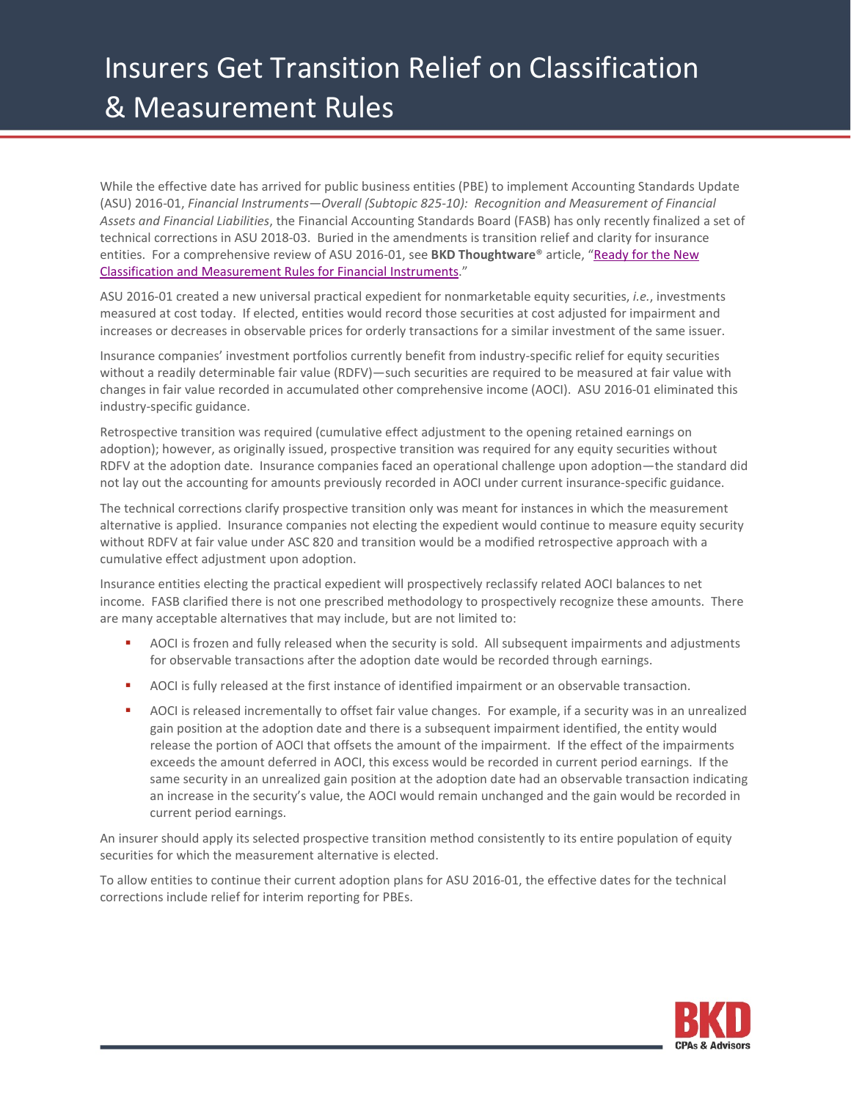## Insurers Get Transition Relief on Classification & Measurement Rules

While the effective date has arrived for public business entities (PBE) to implement Accounting Standards Update (ASU) 2016-01, *Financial Instruments—Overall (Subtopic 825-10): Recognition and Measurement of Financial Assets and Financial Liabilities*, the Financial Accounting Standards Board (FASB) has only recently finalized a set of technical corrections in ASU 2018-03. Buried in the amendments is transition relief and clarity for insurance entities. For a comprehensive review of ASU 2016-01, see **BKD Thoughtware**® article, ["Ready for the New](https://www.bkd.com/articles/2018/ready-for-new-classification-and-measurement-rules-for-financial-instruments.htm)  [Classification and Measurement Rules for Financial Instruments.](https://www.bkd.com/articles/2018/ready-for-new-classification-and-measurement-rules-for-financial-instruments.htm)"

ASU 2016-01 created a new universal practical expedient for nonmarketable equity securities, *i.e.*, investments measured at cost today. If elected, entities would record those securities at cost adjusted for impairment and increases or decreases in observable prices for orderly transactions for a similar investment of the same issuer.

Insurance companies' investment portfolios currently benefit from industry-specific relief for equity securities without a readily determinable fair value (RDFV)—such securities are required to be measured at fair value with changes in fair value recorded in accumulated other comprehensive income (AOCI). ASU 2016-01 eliminated this industry-specific guidance.

Retrospective transition was required (cumulative effect adjustment to the opening retained earnings on adoption); however, as originally issued, prospective transition was required for any equity securities without RDFV at the adoption date. Insurance companies faced an operational challenge upon adoption—the standard did not lay out the accounting for amounts previously recorded in AOCI under current insurance-specific guidance.

The technical corrections clarify prospective transition only was meant for instances in which the measurement alternative is applied. Insurance companies not electing the expedient would continue to measure equity security without RDFV at fair value under ASC 820 and transition would be a modified retrospective approach with a cumulative effect adjustment upon adoption.

Insurance entities electing the practical expedient will prospectively reclassify related AOCI balances to net income. FASB clarified there is not one prescribed methodology to prospectively recognize these amounts. There are many acceptable alternatives that may include, but are not limited to:

- AOCI is frozen and fully released when the security is sold. All subsequent impairments and adjustments for observable transactions after the adoption date would be recorded through earnings.
- AOCI is fully released at the first instance of identified impairment or an observable transaction.
- AOCI is released incrementally to offset fair value changes. For example, if a security was in an unrealized gain position at the adoption date and there is a subsequent impairment identified, the entity would release the portion of AOCI that offsets the amount of the impairment. If the effect of the impairments exceeds the amount deferred in AOCI, this excess would be recorded in current period earnings. If the same security in an unrealized gain position at the adoption date had an observable transaction indicating an increase in the security's value, the AOCI would remain unchanged and the gain would be recorded in current period earnings.

An insurer should apply its selected prospective transition method consistently to its entire population of equity securities for which the measurement alternative is elected.

To allow entities to continue their current adoption plans for ASU 2016-01, the effective dates for the technical corrections include relief for interim reporting for PBEs.